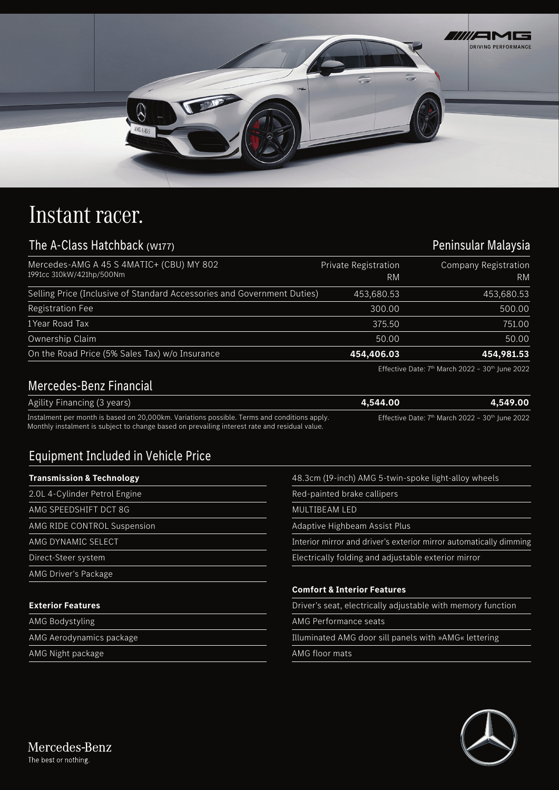

## Instant racer.

## The A-Class Hatchback (W177)

| Mercedes-AMG A 45 S 4MATIC+ (CBU) MY 802<br>1991cc 310kW/421hp/500Nm    | Private Registration<br>RM | <b>Company Registration</b><br>RM |
|-------------------------------------------------------------------------|----------------------------|-----------------------------------|
| Selling Price (Inclusive of Standard Accessories and Government Duties) | 453,680.53                 | 453,680.53                        |
| <b>Registration Fee</b>                                                 | 300.00                     | 500.00                            |
| 1 Year Road Tax                                                         | 375.50                     | 751.00                            |
| Ownership Claim                                                         | 50.00                      | 50.00                             |
| On the Road Price (5% Sales Tax) w/o Insurance                          | 454,406.03                 | 454,981.53                        |
|                                                                         |                            |                                   |

Effective Date:  $7<sup>th</sup>$  March 2022 - 30<sup>th</sup> June 2022

Peninsular Malaysia

## Mercedes-Benz Financial

| Agility Financing (3 years)                                                                 | 4.544.00 | 4,549.00                                                      |
|---------------------------------------------------------------------------------------------|----------|---------------------------------------------------------------|
| Instalment per month is based on 20,000km. Variations possible. Terms and conditions apply. |          | Effective Date: $7th$ March 2022 - 30 <sup>th</sup> June 2022 |

Monthly instalment is subject to change based on prevailing interest rate and residual value.

## Equipment Included in Vehicle Price

| <b>Transmission &amp; Technology</b> | 48.3cm (19-inch) AMG 5-twin-spoke light-alloy wheels               |
|--------------------------------------|--------------------------------------------------------------------|
| 2.0L 4-Cylinder Petrol Engine        | Red-painted brake callipers                                        |
| AMG SPEEDSHIFT DCT 8G                | MULTIBEAM LED                                                      |
| AMG RIDE CONTROL Suspension          | Adaptive Highbeam Assist Plus                                      |
| AMG DYNAMIC SELECT                   | Interior mirror and driver's exterior mirror automatically dimming |
| Direct-Steer system                  | Electrically folding and adjustable exterior mirror                |
| AMG Driver's Package                 |                                                                    |
|                                      | <b>Comfort &amp; Interior Features</b>                             |
| <b>Exterior Features</b>             | Driver's seat, electrically adjustable with memory function        |
| <b>AMG Bodystyling</b>               | AMG Performance seats                                              |
| AMG Aerodynamics package             | Illuminated AMG door sill panels with »AMG« lettering              |
| AMG Night package                    | AMG floor mats                                                     |